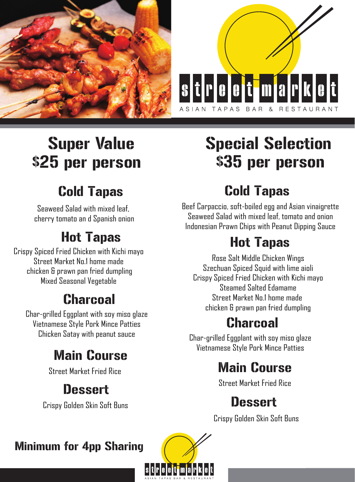



# Super Value \$25 per person

# Special Selection \$35 per person

## Cold Tapas

Seaweed Salad with mixed leaf, cherry tomato an d Spanish onion

## Hot Tapas

Crispy Spiced Fried Chicken with Kichi mayo Street Market No.1 home made chicken & prawn pan fried dumpling Mixed Seasonal Vegetable

## **Charcoal**

Char-grilled Eggplant with soy miso glaze Vietnamese Style Pork Mince Patties Chicken Satay with peanut sauce

## Main Course

Street Market Fried Rice

#### **Dessert**

Crispy Golden Skin Soft Buns

## Cold Tapas

Beef Carpaccio, soft-boiled egg and Asian vinaigrette Seaweed Salad with mixed leaf, tomato and onion Indonesian Prawn Chips with Peanut Dipping Sauce

## Hot Tapas

Rose Salt Middle Chicken Wings Szechuan Spiced Squid with lime aioli Crispy Spiced Fried Chicken with Kichi mayo Steamed Salted Edamame Street Market No.1 home made chicken & prawn pan fried dumpling

#### Charcoal

Char-grilled Eggplant with soy miso glaze Vietnamese Style Pork Mince Patties

### Main Course

Street Market Fried Rice

## Dessert

Crispy Golden Skin Soft Buns

#### Minimum for 4pp Sharing